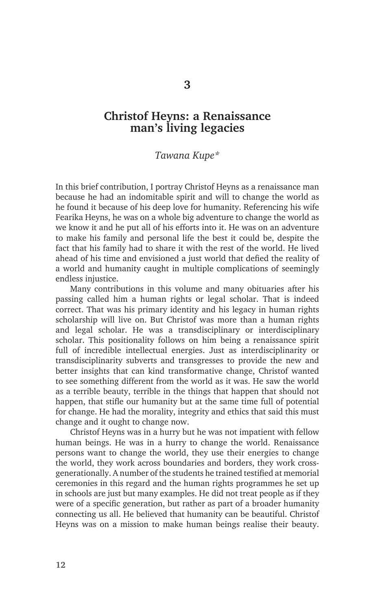## **Christof Heyns: a Renaissance man's living legacies**

## *Tawana Kupe\**

In this brief contribution, I portray Christof Heyns as a renaissance man because he had an indomitable spirit and will to change the world as he found it because of his deep love for humanity. Referencing his wife Fearika Heyns, he was on a whole big adventure to change the world as we know it and he put all of his efforts into it. He was on an adventure to make his family and personal life the best it could be, despite the fact that his family had to share it with the rest of the world. He lived ahead of his time and envisioned a just world that defied the reality of a world and humanity caught in multiple complications of seemingly endless injustice.

Many contributions in this volume and many obituaries after his passing called him a human rights or legal scholar. That is indeed correct. That was his primary identity and his legacy in human rights scholarship will live on. But Christof was more than a human rights and legal scholar. He was a transdisciplinary or interdisciplinary scholar. This positionality follows on him being a renaissance spirit full of incredible intellectual energies. Just as interdisciplinarity or transdisciplinarity subverts and transgresses to provide the new and better insights that can kind transformative change, Christof wanted to see something different from the world as it was. He saw the world as a terrible beauty, terrible in the things that happen that should not happen, that stifle our humanity but at the same time full of potential for change. He had the morality, integrity and ethics that said this must change and it ought to change now.

Christof Heyns was in a hurry but he was not impatient with fellow human beings. He was in a hurry to change the world. Renaissance persons want to change the world, they use their energies to change the world, they work across boundaries and borders, they work crossgenerationally. A number of the students he trained testified at memorial ceremonies in this regard and the human rights programmes he set up in schools are just but many examples. He did not treat people as if they were of a specific generation, but rather as part of a broader humanity connecting us all. He believed that humanity can be beautiful. Christof Heyns was on a mission to make human beings realise their beauty.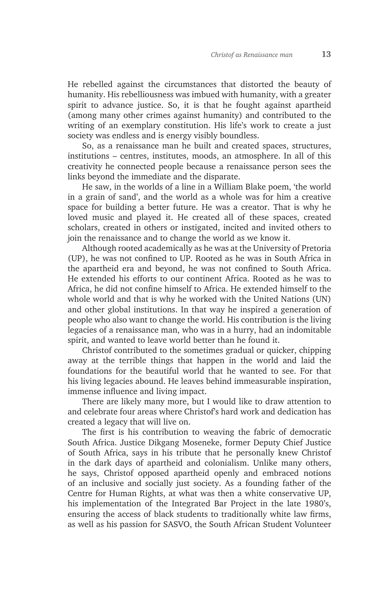He rebelled against the circumstances that distorted the beauty of humanity. His rebelliousness was imbued with humanity, with a greater spirit to advance justice. So, it is that he fought against apartheid (among many other crimes against humanity) and contributed to the writing of an exemplary constitution. His life's work to create a just society was endless and is energy visibly boundless.

So, as a renaissance man he built and created spaces, structures, institutions – centres, institutes, moods, an atmosphere. In all of this creativity he connected people because a renaissance person sees the links beyond the immediate and the disparate.

He saw, in the worlds of a line in a William Blake poem, 'the world in a grain of sand', and the world as a whole was for him a creative space for building a better future. He was a creator. That is why he loved music and played it. He created all of these spaces, created scholars, created in others or instigated, incited and invited others to join the renaissance and to change the world as we know it.

Although rooted academically as he was at the University of Pretoria (UP), he was not confined to UP. Rooted as he was in South Africa in the apartheid era and beyond, he was not confined to South Africa. He extended his efforts to our continent Africa. Rooted as he was to Africa, he did not confine himself to Africa. He extended himself to the whole world and that is why he worked with the United Nations (UN) and other global institutions. In that way he inspired a generation of people who also want to change the world. His contribution is the living legacies of a renaissance man, who was in a hurry, had an indomitable spirit, and wanted to leave world better than he found it.

Christof contributed to the sometimes gradual or quicker, chipping away at the terrible things that happen in the world and laid the foundations for the beautiful world that he wanted to see. For that his living legacies abound. He leaves behind immeasurable inspiration, immense influence and living impact.

There are likely many more, but I would like to draw attention to and celebrate four areas where Christof's hard work and dedication has created a legacy that will live on.

The first is his contribution to weaving the fabric of democratic South Africa. Justice Dikgang Moseneke, former Deputy Chief Justice of South Africa, says in his tribute that he personally knew Christof in the dark days of apartheid and colonialism. Unlike many others, he says, Christof opposed apartheid openly and embraced notions of an inclusive and socially just society. As a founding father of the Centre for Human Rights, at what was then a white conservative UP, his implementation of the Integrated Bar Project in the late 1980's, ensuring the access of black students to traditionally white law firms, as well as his passion for SASVO, the South African Student Volunteer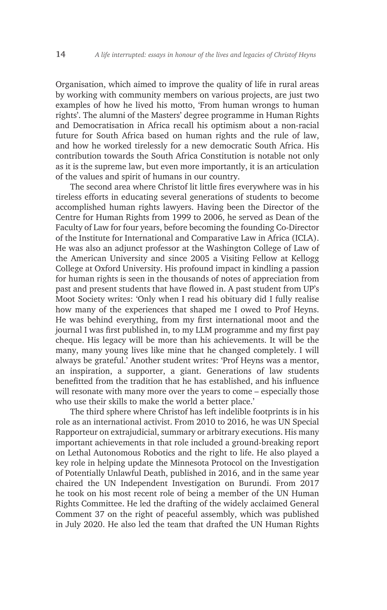Organisation, which aimed to improve the quality of life in rural areas by working with community members on various projects, are just two examples of how he lived his motto, 'From human wrongs to human rights'. The alumni of the Masters' degree programme in Human Rights and Democratisation in Africa recall his optimism about a non-racial future for South Africa based on human rights and the rule of law, and how he worked tirelessly for a new democratic South Africa. His contribution towards the South Africa Constitution is notable not only as it is the supreme law, but even more importantly, it is an articulation of the values and spirit of humans in our country.

The second area where Christof lit little fires everywhere was in his tireless efforts in educating several generations of students to become accomplished human rights lawyers. Having been the Director of the Centre for Human Rights from 1999 to 2006, he served as Dean of the Faculty of Law for four years, before becoming the founding Co-Director of the Institute for International and Comparative Law in Africa (ICLA). He was also an adjunct professor at the Washington College of Law of the American University and since 2005 a Visiting Fellow at Kellogg College at Oxford University. His profound impact in kindling a passion for human rights is seen in the thousands of notes of appreciation from past and present students that have flowed in. A past student from UP's Moot Society writes: 'Only when I read his obituary did I fully realise how many of the experiences that shaped me I owed to Prof Heyns. He was behind everything, from my first international moot and the journal I was first published in, to my LLM programme and my first pay cheque. His legacy will be more than his achievements. It will be the many, many young lives like mine that he changed completely. I will always be grateful.' Another student writes: 'Prof Heyns was a mentor, an inspiration, a supporter, a giant. Generations of law students benefitted from the tradition that he has established, and his influence will resonate with many more over the years to come – especially those who use their skills to make the world a better place.'

The third sphere where Christof has left indelible footprints is in his role as an international activist. From 2010 to 2016, he was UN Special Rapporteur on extrajudicial, summary or arbitrary executions. His many important achievements in that role included a ground-breaking report on Lethal Autonomous Robotics and the right to life. He also played a key role in helping update the Minnesota Protocol on the Investigation of Potentially Unlawful Death, published in 2016, and in the same year chaired the UN Independent Investigation on Burundi. From 2017 he took on his most recent role of being a member of the UN Human Rights Committee. He led the drafting of the widely acclaimed General Comment 37 on the right of peaceful assembly, which was published in July 2020. He also led the team that drafted the UN Human Rights